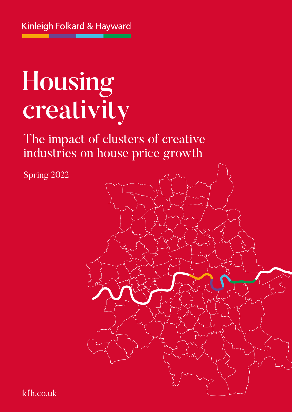# Housing creativity

The impact of clusters of creative industries on house price growth

Spring 2022



kfh.co.uk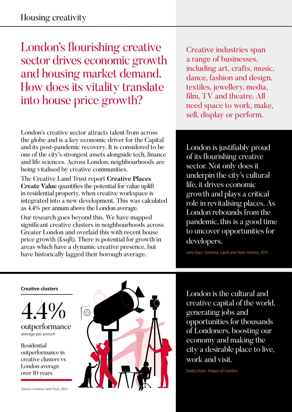London's flourishing creative sector drives economic growth and housing market demand. How does its vitality translate into house price growth?

London's creative sector attracts talent from across the globe and is a key economic driver for the Capital and its post-pandemic recovery. It is considered to be one of the city's strongest assets alongside tech, finance and life sciences. Across London, neighbourhoods are being vitalised by creative communities.

The Creative Land Trust report **Creative Places Create Value** quantifies the potential for value uplift in residential property, when creative workspace is integrated into a new development. This was calculated as 4.4% per annum above the London average.

Our research goes beyond this. We have mapped significant creative clusters in neighbourhoods across Greater London and overlaid this with recent house price growth (£sqft). There is potential for growth in areas which have a dynamic creative presence, but have historically lagged their borough average.

Creative industries span a range of businesses, including art, crafts, music, dance, fashion and design, textiles, jewellery, media, film, TV and theatre. All need space to work, make, sell, display or perform.

London is justifiably proud of its flourishing creative sector. Not only does it underpin the city's cultural life, it drives economic growth and plays a critical role in revitalising places. As London rebounds from the pandemic, this is a good time to uncover opportunities for developers.

John East–Director, Land and New Homes, KFH

#### **Creative clusters**

4.4%

outperformance average per annum

Residential outperformance in creative clusters vs London average over 10 years



London is the cultural and creative capital of the world, generating jobs and opportunities for thousands of Londoners, boosting our economy and making the city a desirable place to live, work and visit.

Sadiq Khan, Mayor of London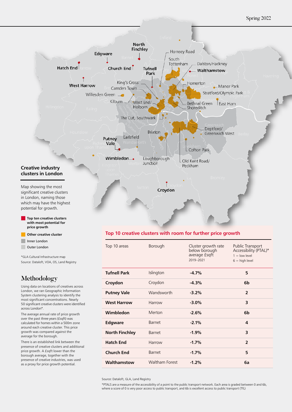

**Other creative cluster**

Outer London Inner London

\*GLA Cultural Infrastructure map

Source: Dataloft, VOA, OS, Land Registry

#### Methodology

Using data on locations of creatives across London, we ran Geographic Information System clustering analysis to identify the most significant concentrations. Nearly 50 significant creative clusters were identified across London\*.

The average annual rate of price growth over the past three years (£sqft) was calculated for homes within a 500m zone around each creative cluster. This price growth was compared against the average for the borough.

There is an established link between the presence of creative clusters and additional price growth. A £sqft lower than the borough average, together with the presence of creative industries, was used as a proxy for price growth potential.

#### **Top 10 creative clusters with room for further price growth**

| Top 10 areas          | Borough               | Cluster growth rate<br>below borough<br>average <i>f</i> sqft<br>2019-2021 | Public Transport<br>Accessibility (PTAL)*<br>$1 =$ low level<br>$6 =$ high level |
|-----------------------|-----------------------|----------------------------------------------------------------------------|----------------------------------------------------------------------------------|
| <b>Tufnell Park</b>   | Islington             | $-4.7%$                                                                    | 5                                                                                |
| Croydon               | Croydon               | $-4.3%$                                                                    | 6b                                                                               |
| <b>Putney Vale</b>    | Wandsworth            | $-3.2%$                                                                    | $\overline{2}$                                                                   |
| <b>West Harrow</b>    | Harrow                | $-3.0%$                                                                    | 3                                                                                |
| Wimbledon             | Merton                | $-2.6%$                                                                    | 6b                                                                               |
| Edgware               | <b>Barnet</b>         | $-2.1%$                                                                    | 4                                                                                |
| <b>North Finchley</b> | Barnet                | $-1.9%$                                                                    | 3                                                                                |
| <b>Hatch End</b>      | Harrow                | $-1.7%$                                                                    | $\overline{2}$                                                                   |
| <b>Church End</b>     | Barnet                | $-1.7%$                                                                    | 5                                                                                |
| Walthamstow           | <b>Waltham Forest</b> | $-1.2%$                                                                    | 6a                                                                               |

Source: Dataloft, GLA, Land Registry

\*PTALS are a measure of the accessibility of a point to the public transport network. Each area is graded between 0 and 6b, where a score of 0 is very poor access to public transport, and 6b is excellent access to public transport (TfL)